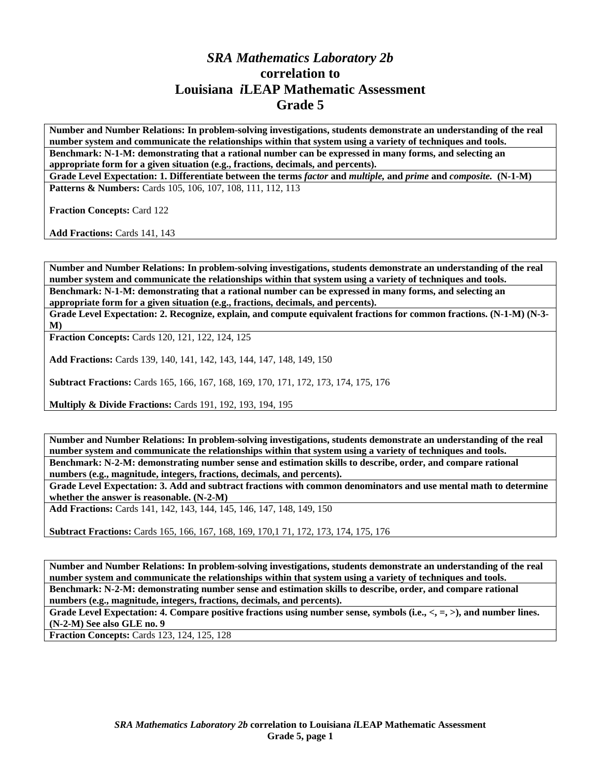## *SRA Mathematics Laboratory 2b*  **correlation to Louisiana** *i***LEAP Mathematic Assessment Grade 5**

**Number and Number Relations: In problem-solving investigations, students demonstrate an understanding of the real number system and communicate the relationships within that system using a variety of techniques and tools. Benchmark: N-1-M: demonstrating that a rational number can be expressed in many forms, and selecting an appropriate form for a given situation (e.g., fractions, decimals, and percents).** 

**Grade Level Expectation: 1. Differentiate between the terms** *factor* **and** *multiple,* **and** *prime* **and** *composite.* **(N-1-M)**  Patterns & Numbers: Cards 105, 106, 107, 108, 111, 112, 113

**Fraction Concepts:** Card 122

**Add Fractions:** Cards 141, 143

**Number and Number Relations: In problem-solving investigations, students demonstrate an understanding of the real number system and communicate the relationships within that system using a variety of techniques and tools. Benchmark: N-1-M: demonstrating that a rational number can be expressed in many forms, and selecting an appropriate form for a given situation (e.g., fractions, decimals, and percents).** 

**Grade Level Expectation: 2. Recognize, explain, and compute equivalent fractions for common fractions. (N-1-M) (N-3- M)** 

**Fraction Concepts:** Cards 120, 121, 122, 124, 125

**Add Fractions:** Cards 139, 140, 141, 142, 143, 144, 147, 148, 149, 150

**Subtract Fractions:** Cards 165, 166, 167, 168, 169, 170, 171, 172, 173, 174, 175, 176

**Multiply & Divide Fractions:** Cards 191, 192, 193, 194, 195

**Number and Number Relations: In problem-solving investigations, students demonstrate an understanding of the real number system and communicate the relationships within that system using a variety of techniques and tools. Benchmark: N-2-M: demonstrating number sense and estimation skills to describe, order, and compare rational numbers (e.g., magnitude, integers, fractions, decimals, and percents).** 

**Grade Level Expectation: 3. Add and subtract fractions with common denominators and use mental math to determine whether the answer is reasonable. (N-2-M)** 

**Add Fractions:** Cards 141, 142, 143, 144, 145, 146, 147, 148, 149, 150

**Subtract Fractions:** Cards 165, 166, 167, 168, 169, 170,1 71, 172, 173, 174, 175, 176

**Number and Number Relations: In problem-solving investigations, students demonstrate an understanding of the real number system and communicate the relationships within that system using a variety of techniques and tools. Benchmark: N-2-M: demonstrating number sense and estimation skills to describe, order, and compare rational numbers (e.g., magnitude, integers, fractions, decimals, and percents).** 

Grade Level Expectation: 4. Compare positive fractions using number sense, symbols (i.e.,  $\langle , = , \rangle$ ), and number lines. **(N-2-M) See also GLE no. 9** 

**Fraction Concepts:** Cards 123, 124, 125, 128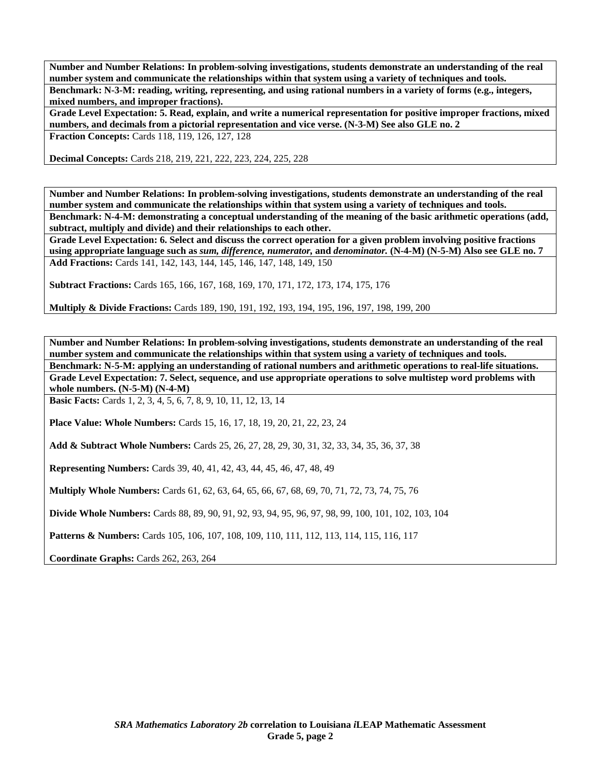**Number and Number Relations: In problem-solving investigations, students demonstrate an understanding of the real number system and communicate the relationships within that system using a variety of techniques and tools. Benchmark: N-3-M: reading, writing, representing, and using rational numbers in a variety of forms (e.g., integers, mixed numbers, and improper fractions).** 

**Grade Level Expectation: 5. Read, explain, and write a numerical representation for positive improper fractions, mixed numbers, and decimals from a pictorial representation and vice verse. (N-3-M) See also GLE no. 2 Fraction Concepts:** Cards 118, 119, 126, 127, 128

**Decimal Concepts:** Cards 218, 219, 221, 222, 223, 224, 225, 228

**Number and Number Relations: In problem-solving investigations, students demonstrate an understanding of the real number system and communicate the relationships within that system using a variety of techniques and tools. Benchmark: N-4-M: demonstrating a conceptual understanding of the meaning of the basic arithmetic operations (add, subtract, multiply and divide) and their relationships to each other.** 

**Grade Level Expectation: 6. Select and discuss the correct operation for a given problem involving positive fractions using appropriate language such as** *sum, difference, numerator,* **and** *denominator.* **(N-4-M) (N-5-M) Also see GLE no. 7 Add Fractions:** Cards 141, 142, 143, 144, 145, 146, 147, 148, 149, 150

**Subtract Fractions:** Cards 165, 166, 167, 168, 169, 170, 171, 172, 173, 174, 175, 176

**Multiply & Divide Fractions:** Cards 189, 190, 191, 192, 193, 194, 195, 196, 197, 198, 199, 200

**Number and Number Relations: In problem-solving investigations, students demonstrate an understanding of the real number system and communicate the relationships within that system using a variety of techniques and tools. Benchmark: N-5-M: applying an understanding of rational numbers and arithmetic operations to real-life situations. Grade Level Expectation: 7. Select, sequence, and use appropriate operations to solve multistep word problems with whole numbers. (N-5-M) (N-4-M)** 

**Basic Facts:** Cards 1, 2, 3, 4, 5, 6, 7, 8, 9, 10, 11, 12, 13, 14

**Place Value: Whole Numbers:** Cards 15, 16, 17, 18, 19, 20, 21, 22, 23, 24

**Add & Subtract Whole Numbers:** Cards 25, 26, 27, 28, 29, 30, 31, 32, 33, 34, 35, 36, 37, 38

**Representing Numbers:** Cards 39, 40, 41, 42, 43, 44, 45, 46, 47, 48, 49

**Multiply Whole Numbers:** Cards 61, 62, 63, 64, 65, 66, 67, 68, 69, 70, 71, 72, 73, 74, 75, 76

**Divide Whole Numbers:** Cards 88, 89, 90, 91, 92, 93, 94, 95, 96, 97, 98, 99, 100, 101, 102, 103, 104

**Patterns & Numbers:** Cards 105, 106, 107, 108, 109, 110, 111, 112, 113, 114, 115, 116, 117

**Coordinate Graphs:** Cards 262, 263, 264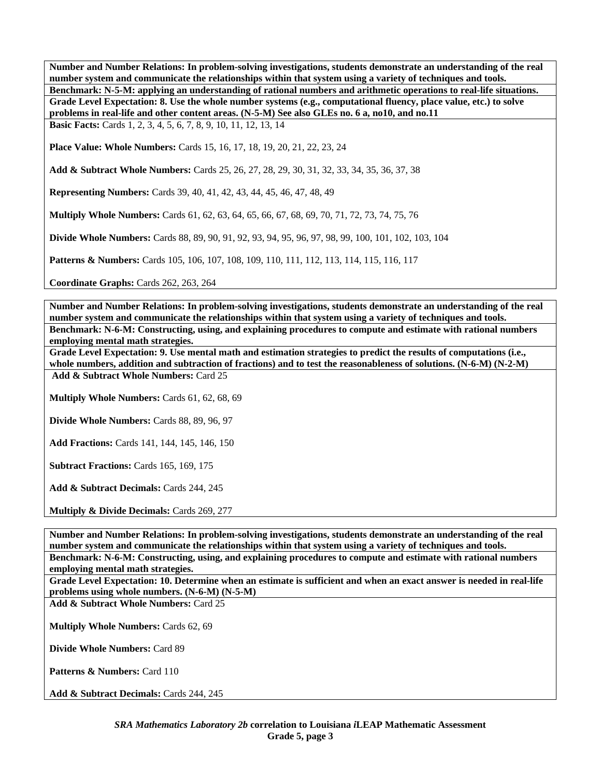**Number and Number Relations: In problem-solving investigations, students demonstrate an understanding of the real number system and communicate the relationships within that system using a variety of techniques and tools. Benchmark: N-5-M: applying an understanding of rational numbers and arithmetic operations to real-life situations. Grade Level Expectation: 8. Use the whole number systems (e.g., computational fluency, place value, etc.) to solve problems in real-life and other content areas. (N-5-M) See also GLEs no. 6 a, no10, and no.11** 

**Basic Facts:** Cards 1, 2, 3, 4, 5, 6, 7, 8, 9, 10, 11, 12, 13, 14

**Place Value: Whole Numbers:** Cards 15, 16, 17, 18, 19, 20, 21, 22, 23, 24

**Add & Subtract Whole Numbers:** Cards 25, 26, 27, 28, 29, 30, 31, 32, 33, 34, 35, 36, 37, 38

**Representing Numbers:** Cards 39, 40, 41, 42, 43, 44, 45, 46, 47, 48, 49

**Multiply Whole Numbers:** Cards 61, 62, 63, 64, 65, 66, 67, 68, 69, 70, 71, 72, 73, 74, 75, 76

**Divide Whole Numbers:** Cards 88, 89, 90, 91, 92, 93, 94, 95, 96, 97, 98, 99, 100, 101, 102, 103, 104

**Patterns & Numbers:** Cards 105, 106, 107, 108, 109, 110, 111, 112, 113, 114, 115, 116, 117

**Coordinate Graphs:** Cards 262, 263, 264

**Number and Number Relations: In problem-solving investigations, students demonstrate an understanding of the real number system and communicate the relationships within that system using a variety of techniques and tools. Benchmark: N-6-M: Constructing, using, and explaining procedures to compute and estimate with rational numbers employing mental math strategies.** 

**Grade Level Expectation: 9. Use mental math and estimation strategies to predict the results of computations (i.e., whole numbers, addition and subtraction of fractions) and to test the reasonableness of solutions. (N-6-M) (N-2-M) Add & Subtract Whole Numbers:** Card 25

**Multiply Whole Numbers:** Cards 61, 62, 68, 69

**Divide Whole Numbers:** Cards 88, 89, 96, 97

**Add Fractions:** Cards 141, 144, 145, 146, 150

**Subtract Fractions:** Cards 165, 169, 175

**Add & Subtract Decimals:** Cards 244, 245

**Multiply & Divide Decimals:** Cards 269, 277

**Number and Number Relations: In problem-solving investigations, students demonstrate an understanding of the real number system and communicate the relationships within that system using a variety of techniques and tools. Benchmark: N-6-M: Constructing, using, and explaining procedures to compute and estimate with rational numbers** 

**employing mental math strategies.** 

**Grade Level Expectation: 10. Determine when an estimate is sufficient and when an exact answer is needed in real-life problems using whole numbers. (N-6-M) (N-5-M)** 

**Add & Subtract Whole Numbers:** Card 25

**Multiply Whole Numbers:** Cards 62, 69

**Divide Whole Numbers:** Card 89

**Patterns & Numbers: Card 110** 

**Add & Subtract Decimals:** Cards 244, 245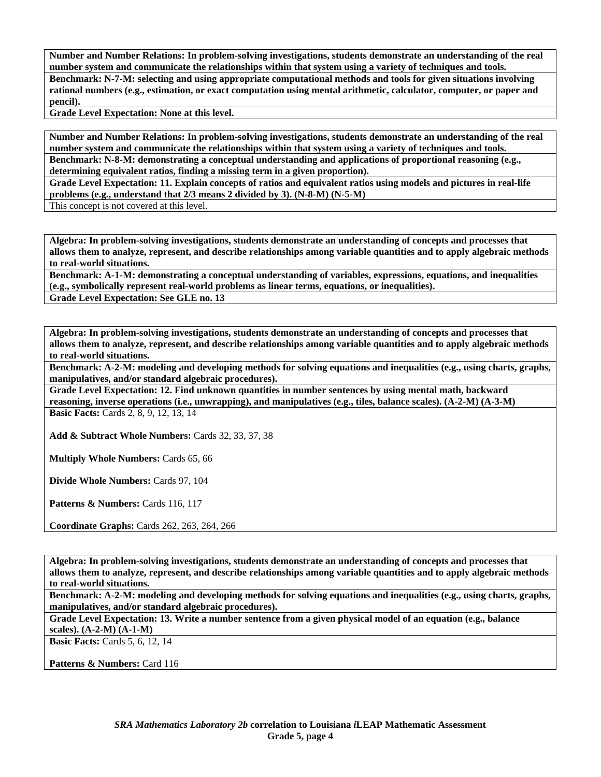**Number and Number Relations: In problem-solving investigations, students demonstrate an understanding of the real number system and communicate the relationships within that system using a variety of techniques and tools. Benchmark: N-7-M: selecting and using appropriate computational methods and tools for given situations involving rational numbers (e.g., estimation, or exact computation using mental arithmetic, calculator, computer, or paper and pencil).** 

**Grade Level Expectation: None at this level.** 

**Number and Number Relations: In problem-solving investigations, students demonstrate an understanding of the real number system and communicate the relationships within that system using a variety of techniques and tools. Benchmark: N-8-M: demonstrating a conceptual understanding and applications of proportional reasoning (e.g., determining equivalent ratios, finding a missing term in a given proportion).** 

**Grade Level Expectation: 11. Explain concepts of ratios and equivalent ratios using models and pictures in real-life problems (e.g., understand that 2/3 means 2 divided by 3). (N-8-M) (N-5-M)** 

This concept is not covered at this level.

**Algebra: In problem-solving investigations, students demonstrate an understanding of concepts and processes that allows them to analyze, represent, and describe relationships among variable quantities and to apply algebraic methods to real-world situations.** 

**Benchmark: A-1-M: demonstrating a conceptual understanding of variables, expressions, equations, and inequalities (e.g., symbolically represent real-world problems as linear terms, equations, or inequalities). Grade Level Expectation: See GLE no. 13** 

**Algebra: In problem-solving investigations, students demonstrate an understanding of concepts and processes that allows them to analyze, represent, and describe relationships among variable quantities and to apply algebraic methods to real-world situations.** 

**Benchmark: A-2-M: modeling and developing methods for solving equations and inequalities (e.g., using charts, graphs, manipulatives, and/or standard algebraic procedures).** 

**Grade Level Expectation: 12. Find unknown quantities in number sentences by using mental math, backward reasoning, inverse operations (i.e., unwrapping), and manipulatives (e.g., tiles, balance scales). (A-2-M) (A-3-M)** 

**Basic Facts:** Cards 2, 8, 9, 12, 13, 14

**Add & Subtract Whole Numbers:** Cards 32, 33, 37, 38

**Multiply Whole Numbers:** Cards 65, 66

**Divide Whole Numbers:** Cards 97, 104

Patterns & Numbers: Cards 116, 117

**Coordinate Graphs:** Cards 262, 263, 264, 266

**Algebra: In problem-solving investigations, students demonstrate an understanding of concepts and processes that allows them to analyze, represent, and describe relationships among variable quantities and to apply algebraic methods to real-world situations.** 

**Benchmark: A-2-M: modeling and developing methods for solving equations and inequalities (e.g., using charts, graphs, manipulatives, and/or standard algebraic procedures).** 

**Grade Level Expectation: 13. Write a number sentence from a given physical model of an equation (e.g., balance scales). (A-2-M) (A-1-M)** 

**Basic Facts:** Cards 5, 6, 12, 14

Patterns & Numbers: Card 116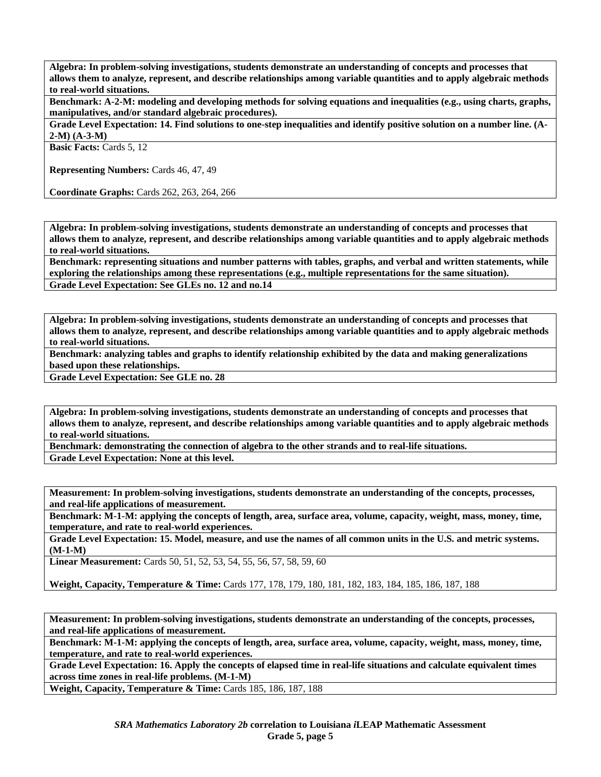**Algebra: In problem-solving investigations, students demonstrate an understanding of concepts and processes that allows them to analyze, represent, and describe relationships among variable quantities and to apply algebraic methods to real-world situations.** 

**Benchmark: A-2-M: modeling and developing methods for solving equations and inequalities (e.g., using charts, graphs, manipulatives, and/or standard algebraic procedures).** 

**Grade Level Expectation: 14. Find solutions to one-step inequalities and identify positive solution on a number line. (A-2-M) (A-3-M)** 

**Basic Facts:** Cards 5, 12

**Representing Numbers:** Cards 46, 47, 49

**Coordinate Graphs:** Cards 262, 263, 264, 266

**Algebra: In problem-solving investigations, students demonstrate an understanding of concepts and processes that allows them to analyze, represent, and describe relationships among variable quantities and to apply algebraic methods to real-world situations.** 

**Benchmark: representing situations and number patterns with tables, graphs, and verbal and written statements, while exploring the relationships among these representations (e.g., multiple representations for the same situation). Grade Level Expectation: See GLEs no. 12 and no.14** 

**Algebra: In problem-solving investigations, students demonstrate an understanding of concepts and processes that allows them to analyze, represent, and describe relationships among variable quantities and to apply algebraic methods to real-world situations.** 

**Benchmark: analyzing tables and graphs to identify relationship exhibited by the data and making generalizations based upon these relationships.** 

**Grade Level Expectation: See GLE no. 28** 

**Algebra: In problem-solving investigations, students demonstrate an understanding of concepts and processes that allows them to analyze, represent, and describe relationships among variable quantities and to apply algebraic methods to real-world situations.** 

**Benchmark: demonstrating the connection of algebra to the other strands and to real-life situations. Grade Level Expectation: None at this level.** 

**Measurement: In problem-solving investigations, students demonstrate an understanding of the concepts, processes, and real-life applications of measurement.** 

**Benchmark: M-1-M: applying the concepts of length, area, surface area, volume, capacity, weight, mass, money, time, temperature, and rate to real-world experiences.** 

**Grade Level Expectation: 15. Model, measure, and use the names of all common units in the U.S. and metric systems. (M-1-M)** 

**Linear Measurement:** Cards 50, 51, 52, 53, 54, 55, 56, 57, 58, 59, 60

**Weight, Capacity, Temperature & Time:** Cards 177, 178, 179, 180, 181, 182, 183, 184, 185, 186, 187, 188

**Measurement: In problem-solving investigations, students demonstrate an understanding of the concepts, processes, and real-life applications of measurement.** 

**Benchmark: M-1-M: applying the concepts of length, area, surface area, volume, capacity, weight, mass, money, time, temperature, and rate to real-world experiences.** 

**Grade Level Expectation: 16. Apply the concepts of elapsed time in real-life situations and calculate equivalent times across time zones in real-life problems. (M-1-M)** 

**Weight, Capacity, Temperature & Time: Cards 185, 186, 187, 188**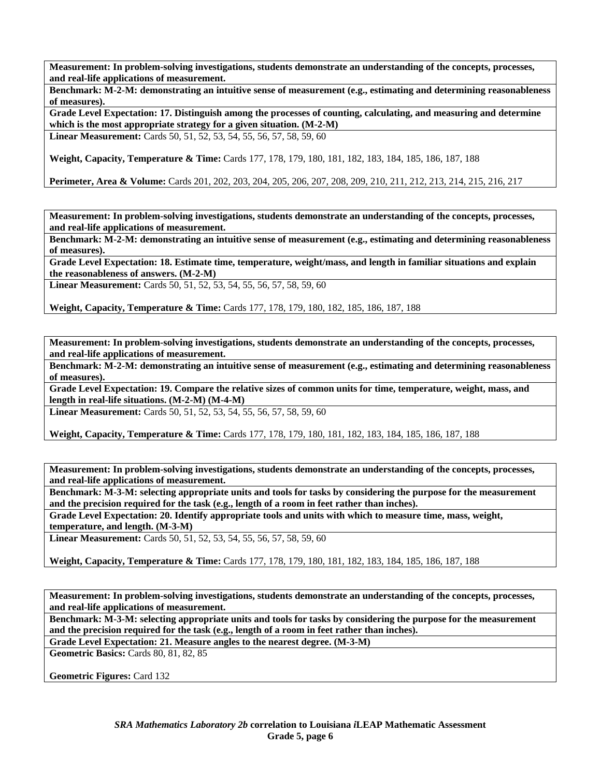**Benchmark: M-2-M: demonstrating an intuitive sense of measurement (e.g., estimating and determining reasonableness of measures).** 

**Grade Level Expectation: 17. Distinguish among the processes of counting, calculating, and measuring and determine which is the most appropriate strategy for a given situation. (M-2-M) Linear Measurement:** Cards 50, 51, 52, 53, 54, 55, 56, 57, 58, 59, 60

**Weight, Capacity, Temperature & Time:** Cards 177, 178, 179, 180, 181, 182, 183, 184, 185, 186, 187, 188

**Perimeter, Area & Volume:** Cards 201, 202, 203, 204, 205, 206, 207, 208, 209, 210, 211, 212, 213, 214, 215, 216, 217

**Measurement: In problem-solving investigations, students demonstrate an understanding of the concepts, processes, and real-life applications of measurement.** 

**Benchmark: M-2-M: demonstrating an intuitive sense of measurement (e.g., estimating and determining reasonableness of measures).** 

**Grade Level Expectation: 18. Estimate time, temperature, weight/mass, and length in familiar situations and explain the reasonableness of answers. (M-2-M)** 

**Linear Measurement:** Cards 50, 51, 52, 53, 54, 55, 56, 57, 58, 59, 60

**Weight, Capacity, Temperature & Time:** Cards 177, 178, 179, 180, 182, 185, 186, 187, 188

**Measurement: In problem-solving investigations, students demonstrate an understanding of the concepts, processes, and real-life applications of measurement.** 

**Benchmark: M-2-M: demonstrating an intuitive sense of measurement (e.g., estimating and determining reasonableness of measures).** 

**Grade Level Expectation: 19. Compare the relative sizes of common units for time, temperature, weight, mass, and length in real-life situations. (M-2-M) (M-4-M)** 

**Linear Measurement:** Cards 50, 51, 52, 53, 54, 55, 56, 57, 58, 59, 60

**Weight, Capacity, Temperature & Time:** Cards 177, 178, 179, 180, 181, 182, 183, 184, 185, 186, 187, 188

**Measurement: In problem-solving investigations, students demonstrate an understanding of the concepts, processes, and real-life applications of measurement.** 

**Benchmark: M-3-M: selecting appropriate units and tools for tasks by considering the purpose for the measurement and the precision required for the task (e.g., length of a room in feet rather than inches).** 

**Grade Level Expectation: 20. Identify appropriate tools and units with which to measure time, mass, weight, temperature, and length. (M-3-M)** 

**Linear Measurement:** Cards 50, 51, 52, 53, 54, 55, 56, 57, 58, 59, 60

**Weight, Capacity, Temperature & Time:** Cards 177, 178, 179, 180, 181, 182, 183, 184, 185, 186, 187, 188

**Measurement: In problem-solving investigations, students demonstrate an understanding of the concepts, processes, and real-life applications of measurement.** 

**Benchmark: M-3-M: selecting appropriate units and tools for tasks by considering the purpose for the measurement and the precision required for the task (e.g., length of a room in feet rather than inches).** 

**Grade Level Expectation: 21. Measure angles to the nearest degree. (M-3-M)** 

**Geometric Basics:** Cards 80, 81, 82, 85

**Geometric Figures:** Card 132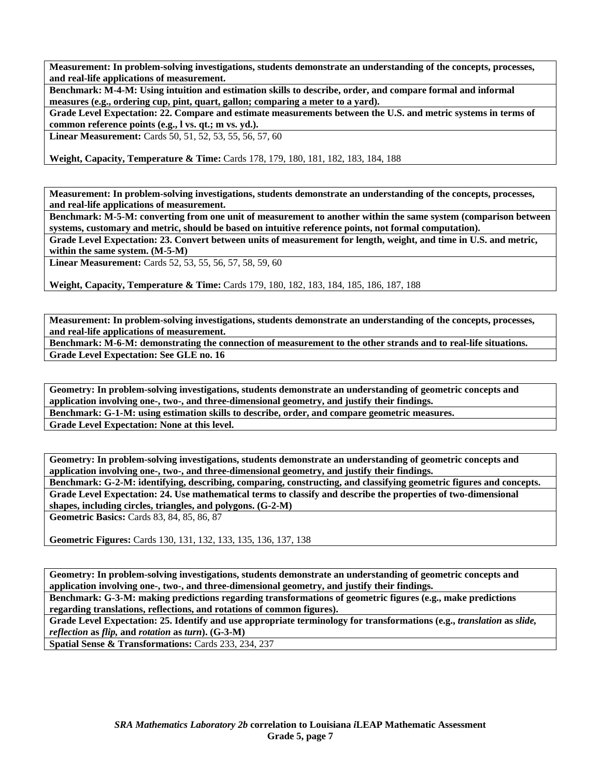**Benchmark: M-4-M: Using intuition and estimation skills to describe, order, and compare formal and informal measures (e.g., ordering cup, pint, quart, gallon; comparing a meter to a yard).** 

**Grade Level Expectation: 22. Compare and estimate measurements between the U.S. and metric systems in terms of common reference points (e.g., l vs. qt.; m vs. yd.).** 

**Linear Measurement:** Cards 50, 51, 52, 53, 55, 56, 57, 60

**Weight, Capacity, Temperature & Time:** Cards 178, 179, 180, 181, 182, 183, 184, 188

**Measurement: In problem-solving investigations, students demonstrate an understanding of the concepts, processes, and real-life applications of measurement.** 

**Benchmark: M-5-M: converting from one unit of measurement to another within the same system (comparison between systems, customary and metric, should be based on intuitive reference points, not formal computation).** 

**Grade Level Expectation: 23. Convert between units of measurement for length, weight, and time in U.S. and metric, within the same system. (M-5-M)** 

**Linear Measurement:** Cards 52, 53, 55, 56, 57, 58, 59, 60

**Weight, Capacity, Temperature & Time:** Cards 179, 180, 182, 183, 184, 185, 186, 187, 188

**Measurement: In problem-solving investigations, students demonstrate an understanding of the concepts, processes, and real-life applications of measurement.** 

**Benchmark: M-6-M: demonstrating the connection of measurement to the other strands and to real-life situations. Grade Level Expectation: See GLE no. 16** 

**Geometry: In problem-solving investigations, students demonstrate an understanding of geometric concepts and application involving one-, two-, and three-dimensional geometry, and justify their findings. Benchmark: G-1-M: using estimation skills to describe, order, and compare geometric measures. Grade Level Expectation: None at this level.** 

**Geometry: In problem-solving investigations, students demonstrate an understanding of geometric concepts and application involving one-, two-, and three-dimensional geometry, and justify their findings.** 

**Benchmark: G-2-M: identifying, describing, comparing, constructing, and classifying geometric figures and concepts. Grade Level Expectation: 24. Use mathematical terms to classify and describe the properties of two-dimensional shapes, including circles, triangles, and polygons. (G-2-M)** 

**Geometric Basics:** Cards 83, 84, 85, 86, 87

**Geometric Figures:** Cards 130, 131, 132, 133, 135, 136, 137, 138

**Geometry: In problem-solving investigations, students demonstrate an understanding of geometric concepts and application involving one-, two-, and three-dimensional geometry, and justify their findings.** 

**Benchmark: G-3-M: making predictions regarding transformations of geometric figures (e.g., make predictions regarding translations, reflections, and rotations of common figures).** 

Grade Level Expectation: 25. Identify and use appropriate terminology for transformations (e.g., *translation* as *slide*, *reflection* **as** *flip,* **and** *rotation* **as** *turn***). (G-3-M)** 

**Spatial Sense & Transformations:** Cards 233, 234, 237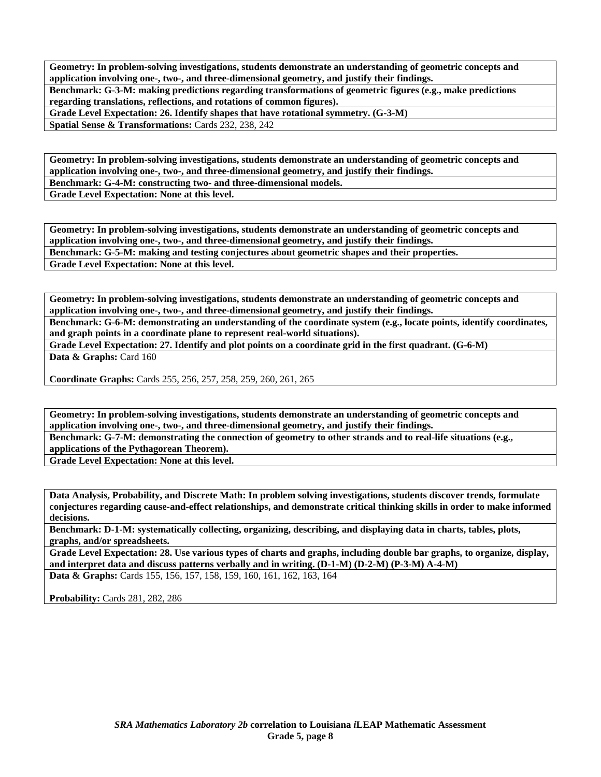**Geometry: In problem-solving investigations, students demonstrate an understanding of geometric concepts and application involving one-, two-, and three-dimensional geometry, and justify their findings. Benchmark: G-3-M: making predictions regarding transformations of geometric figures (e.g., make predictions regarding translations, reflections, and rotations of common figures). Grade Level Expectation: 26. Identify shapes that have rotational symmetry. (G-3-M)** 

**Spatial Sense & Transformations:** Cards 232, 238, 242

**Geometry: In problem-solving investigations, students demonstrate an understanding of geometric concepts and application involving one-, two-, and three-dimensional geometry, and justify their findings. Benchmark: G-4-M: constructing two- and three-dimensional models. Grade Level Expectation: None at this level.** 

**Geometry: In problem-solving investigations, students demonstrate an understanding of geometric concepts and application involving one-, two-, and three-dimensional geometry, and justify their findings. Benchmark: G-5-M: making and testing conjectures about geometric shapes and their properties. Grade Level Expectation: None at this level.** 

**Geometry: In problem-solving investigations, students demonstrate an understanding of geometric concepts and application involving one-, two-, and three-dimensional geometry, and justify their findings.** 

**Benchmark: G-6-M: demonstrating an understanding of the coordinate system (e.g., locate points, identify coordinates, and graph points in a coordinate plane to represent real-world situations).** 

**Grade Level Expectation: 27. Identify and plot points on a coordinate grid in the first quadrant. (G-6-M)**  Data & Graphs: Card 160

**Coordinate Graphs:** Cards 255, 256, 257, 258, 259, 260, 261, 265

**Geometry: In problem-solving investigations, students demonstrate an understanding of geometric concepts and application involving one-, two-, and three-dimensional geometry, and justify their findings.** 

**Benchmark: G-7-M: demonstrating the connection of geometry to other strands and to real-life situations (e.g., applications of the Pythagorean Theorem).** 

**Grade Level Expectation: None at this level.** 

**Data Analysis, Probability, and Discrete Math: In problem solving investigations, students discover trends, formulate conjectures regarding cause-and-effect relationships, and demonstrate critical thinking skills in order to make informed decisions.** 

**Benchmark: D-1-M: systematically collecting, organizing, describing, and displaying data in charts, tables, plots, graphs, and/or spreadsheets.** 

**Grade Level Expectation: 28. Use various types of charts and graphs, including double bar graphs, to organize, display, and interpret data and discuss patterns verbally and in writing. (D-1-M) (D-2-M) (P-3-M) A-4-M) Data & Graphs:** Cards 155, 156, 157, 158, 159, 160, 161, 162, 163, 164

**Probability:** Cards 281, 282, 286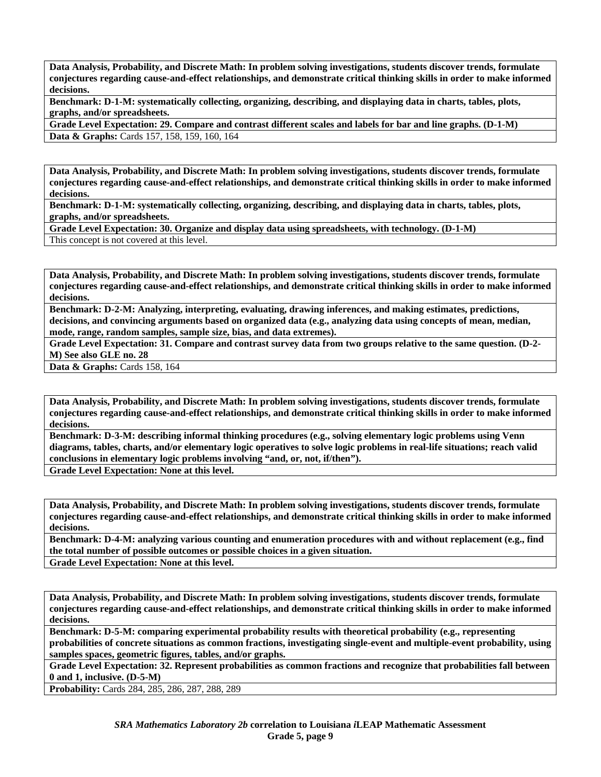**Benchmark: D-1-M: systematically collecting, organizing, describing, and displaying data in charts, tables, plots, graphs, and/or spreadsheets.** 

**Grade Level Expectation: 29. Compare and contrast different scales and labels for bar and line graphs. (D-1-M) Data & Graphs:** Cards 157, 158, 159, 160, 164

**Data Analysis, Probability, and Discrete Math: In problem solving investigations, students discover trends, formulate conjectures regarding cause-and-effect relationships, and demonstrate critical thinking skills in order to make informed decisions.** 

**Benchmark: D-1-M: systematically collecting, organizing, describing, and displaying data in charts, tables, plots, graphs, and/or spreadsheets.** 

**Grade Level Expectation: 30. Organize and display data using spreadsheets, with technology. (D-1-M)** 

This concept is not covered at this level.

**Data Analysis, Probability, and Discrete Math: In problem solving investigations, students discover trends, formulate conjectures regarding cause-and-effect relationships, and demonstrate critical thinking skills in order to make informed decisions.** 

**Benchmark: D-2-M: Analyzing, interpreting, evaluating, drawing inferences, and making estimates, predictions, decisions, and convincing arguments based on organized data (e.g., analyzing data using concepts of mean, median, mode, range, random samples, sample size, bias, and data extremes).** 

**Grade Level Expectation: 31. Compare and contrast survey data from two groups relative to the same question. (D-2- M) See also GLE no. 28** 

Data & Graphs: Cards 158, 164

**Data Analysis, Probability, and Discrete Math: In problem solving investigations, students discover trends, formulate conjectures regarding cause-and-effect relationships, and demonstrate critical thinking skills in order to make informed decisions.** 

**Benchmark: D-3-M: describing informal thinking procedures (e.g., solving elementary logic problems using Venn diagrams, tables, charts, and/or elementary logic operatives to solve logic problems in real-life situations; reach valid conclusions in elementary logic problems involving "and, or, not, if/then").** 

**Grade Level Expectation: None at this level.** 

**Data Analysis, Probability, and Discrete Math: In problem solving investigations, students discover trends, formulate conjectures regarding cause-and-effect relationships, and demonstrate critical thinking skills in order to make informed decisions.** 

**Benchmark: D-4-M: analyzing various counting and enumeration procedures with and without replacement (e.g., find the total number of possible outcomes or possible choices in a given situation.** 

**Grade Level Expectation: None at this level.** 

**Data Analysis, Probability, and Discrete Math: In problem solving investigations, students discover trends, formulate conjectures regarding cause-and-effect relationships, and demonstrate critical thinking skills in order to make informed decisions.** 

**Benchmark: D-5-M: comparing experimental probability results with theoretical probability (e.g., representing probabilities of concrete situations as common fractions, investigating single-event and multiple-event probability, using samples spaces, geometric figures, tables, and/or graphs.** 

**Grade Level Expectation: 32. Represent probabilities as common fractions and recognize that probabilities fall between 0 and 1, inclusive. (D-5-M)** 

**Probability:** Cards 284, 285, 286, 287, 288, 289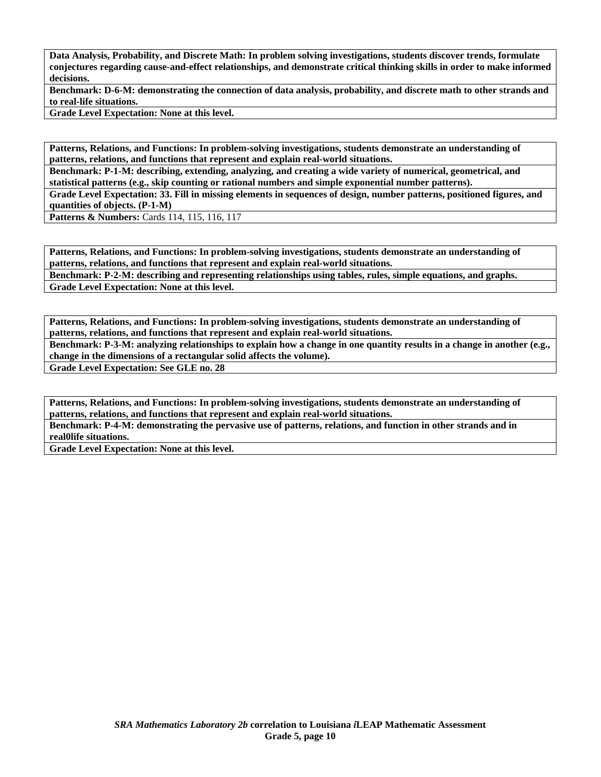**Benchmark: D-6-M: demonstrating the connection of data analysis, probability, and discrete math to other strands and to real-life situations.** 

**Grade Level Expectation: None at this level.** 

**Patterns, Relations, and Functions: In problem-solving investigations, students demonstrate an understanding of patterns, relations, and functions that represent and explain real-world situations.** 

**Benchmark: P-1-M: describing, extending, analyzing, and creating a wide variety of numerical, geometrical, and statistical patterns (e.g., skip counting or rational numbers and simple exponential number patterns).** 

**Grade Level Expectation: 33. Fill in missing elements in sequences of design, number patterns, positioned figures, and quantities of objects. (P-1-M)** 

**Patterns & Numbers:** Cards 114, 115, 116, 117

**Patterns, Relations, and Functions: In problem-solving investigations, students demonstrate an understanding of patterns, relations, and functions that represent and explain real-world situations.** 

**Benchmark: P-2-M: describing and representing relationships using tables, rules, simple equations, and graphs. Grade Level Expectation: None at this level.** 

**Patterns, Relations, and Functions: In problem-solving investigations, students demonstrate an understanding of patterns, relations, and functions that represent and explain real-world situations.** 

**Benchmark: P-3-M: analyzing relationships to explain how a change in one quantity results in a change in another (e.g., change in the dimensions of a rectangular solid affects the volume).** 

**Grade Level Expectation: See GLE no. 28** 

**Patterns, Relations, and Functions: In problem-solving investigations, students demonstrate an understanding of patterns, relations, and functions that represent and explain real-world situations.** 

**Benchmark: P-4-M: demonstrating the pervasive use of patterns, relations, and function in other strands and in real0life situations.** 

**Grade Level Expectation: None at this level.**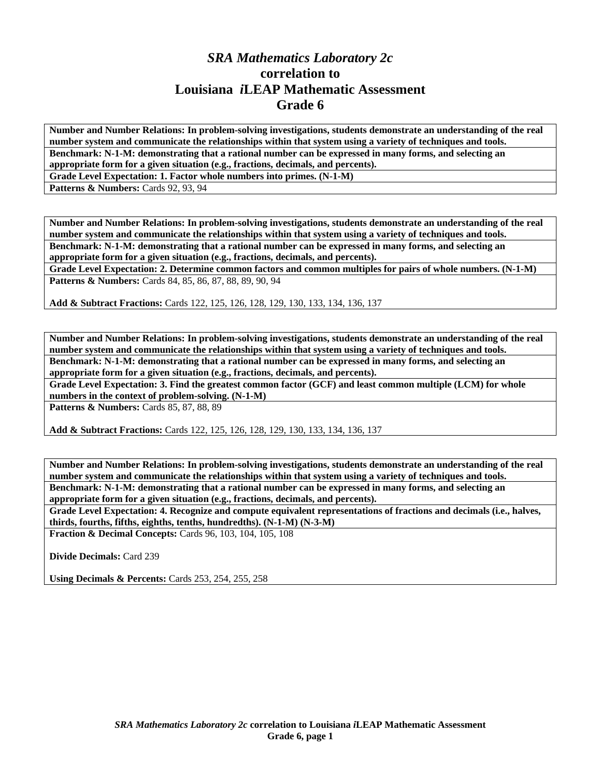## *SRA Mathematics Laboratory 2c*  **correlation to Louisiana** *i***LEAP Mathematic Assessment Grade 6**

**Number and Number Relations: In problem-solving investigations, students demonstrate an understanding of the real number system and communicate the relationships within that system using a variety of techniques and tools. Benchmark: N-1-M: demonstrating that a rational number can be expressed in many forms, and selecting an appropriate form for a given situation (e.g., fractions, decimals, and percents).** 

**Grade Level Expectation: 1. Factor whole numbers into primes. (N-1-M)** 

**Patterns & Numbers: Cards 92, 93, 94** 

**Number and Number Relations: In problem-solving investigations, students demonstrate an understanding of the real number system and communicate the relationships within that system using a variety of techniques and tools. Benchmark: N-1-M: demonstrating that a rational number can be expressed in many forms, and selecting an appropriate form for a given situation (e.g., fractions, decimals, and percents).** 

**Grade Level Expectation: 2. Determine common factors and common multiples for pairs of whole numbers. (N-1-M) Patterns & Numbers:** Cards 84, 85, 86, 87, 88, 89, 90, 94

**Add & Subtract Fractions:** Cards 122, 125, 126, 128, 129, 130, 133, 134, 136, 137

**Number and Number Relations: In problem-solving investigations, students demonstrate an understanding of the real number system and communicate the relationships within that system using a variety of techniques and tools. Benchmark: N-1-M: demonstrating that a rational number can be expressed in many forms, and selecting an appropriate form for a given situation (e.g., fractions, decimals, and percents).** 

**Grade Level Expectation: 3. Find the greatest common factor (GCF) and least common multiple (LCM) for whole numbers in the context of problem-solving. (N-1-M)** 

Patterns & Numbers: Cards 85, 87, 88, 89

**Add & Subtract Fractions:** Cards 122, 125, 126, 128, 129, 130, 133, 134, 136, 137

**Number and Number Relations: In problem-solving investigations, students demonstrate an understanding of the real number system and communicate the relationships within that system using a variety of techniques and tools. Benchmark: N-1-M: demonstrating that a rational number can be expressed in many forms, and selecting an appropriate form for a given situation (e.g., fractions, decimals, and percents).** 

**Grade Level Expectation: 4. Recognize and compute equivalent representations of fractions and decimals (i.e., halves, thirds, fourths, fifths, eighths, tenths, hundredths). (N-1-M) (N-3-M)** 

**Fraction & Decimal Concepts:** Cards 96, 103, 104, 105, 108

**Divide Decimals:** Card 239

**Using Decimals & Percents:** Cards 253, 254, 255, 258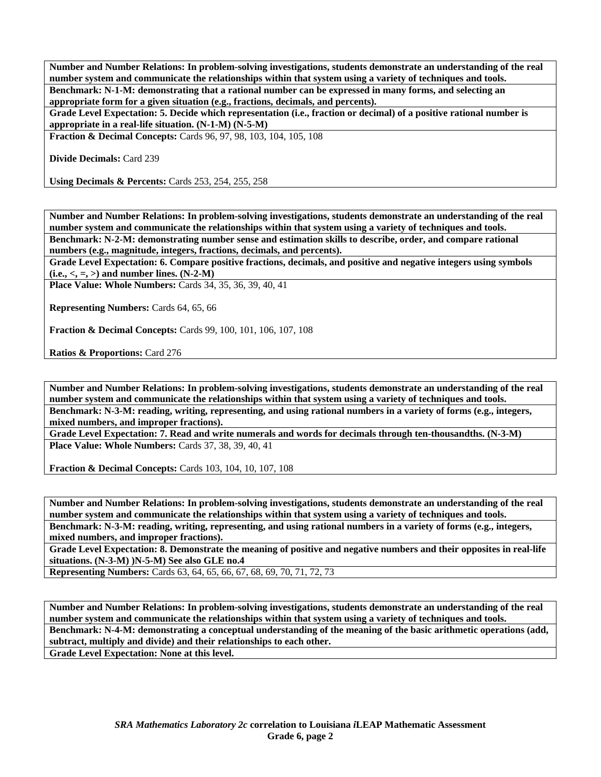**Number and Number Relations: In problem-solving investigations, students demonstrate an understanding of the real number system and communicate the relationships within that system using a variety of techniques and tools. Benchmark: N-1-M: demonstrating that a rational number can be expressed in many forms, and selecting an appropriate form for a given situation (e.g., fractions, decimals, and percents).** 

**Grade Level Expectation: 5. Decide which representation (i.e., fraction or decimal) of a positive rational number is appropriate in a real-life situation. (N-1-M) (N-5-M)** 

**Fraction & Decimal Concepts:** Cards 96, 97, 98, 103, 104, 105, 108

**Divide Decimals:** Card 239

**Using Decimals & Percents:** Cards 253, 254, 255, 258

**Number and Number Relations: In problem-solving investigations, students demonstrate an understanding of the real number system and communicate the relationships within that system using a variety of techniques and tools. Benchmark: N-2-M: demonstrating number sense and estimation skills to describe, order, and compare rational numbers (e.g., magnitude, integers, fractions, decimals, and percents).** 

**Grade Level Expectation: 6. Compare positive fractions, decimals, and positive and negative integers using symbols**   $(i.e., <, =, >)$  and number lines.  $(N-2-M)$ 

**Place Value: Whole Numbers:** Cards 34, 35, 36, 39, 40, 41

**Representing Numbers:** Cards 64, 65, 66

**Fraction & Decimal Concepts:** Cards 99, 100, 101, 106, 107, 108

**Ratios & Proportions:** Card 276

**Number and Number Relations: In problem-solving investigations, students demonstrate an understanding of the real number system and communicate the relationships within that system using a variety of techniques and tools. Benchmark: N-3-M: reading, writing, representing, and using rational numbers in a variety of forms (e.g., integers, mixed numbers, and improper fractions).** 

**Grade Level Expectation: 7. Read and write numerals and words for decimals through ten-thousandths. (N-3-M) Place Value: Whole Numbers:** Cards 37, 38, 39, 40, 41

**Fraction & Decimal Concepts:** Cards 103, 104, 10, 107, 108

**Number and Number Relations: In problem-solving investigations, students demonstrate an understanding of the real number system and communicate the relationships within that system using a variety of techniques and tools. Benchmark: N-3-M: reading, writing, representing, and using rational numbers in a variety of forms (e.g., integers, mixed numbers, and improper fractions).** 

**Grade Level Expectation: 8. Demonstrate the meaning of positive and negative numbers and their opposites in real-life situations. (N-3-M) )N-5-M) See also GLE no.4** 

**Representing Numbers:** Cards 63, 64, 65, 66, 67, 68, 69, 70, 71, 72, 73

**Number and Number Relations: In problem-solving investigations, students demonstrate an understanding of the real number system and communicate the relationships within that system using a variety of techniques and tools. Benchmark: N-4-M: demonstrating a conceptual understanding of the meaning of the basic arithmetic operations (add, subtract, multiply and divide) and their relationships to each other. Grade Level Expectation: None at this level.**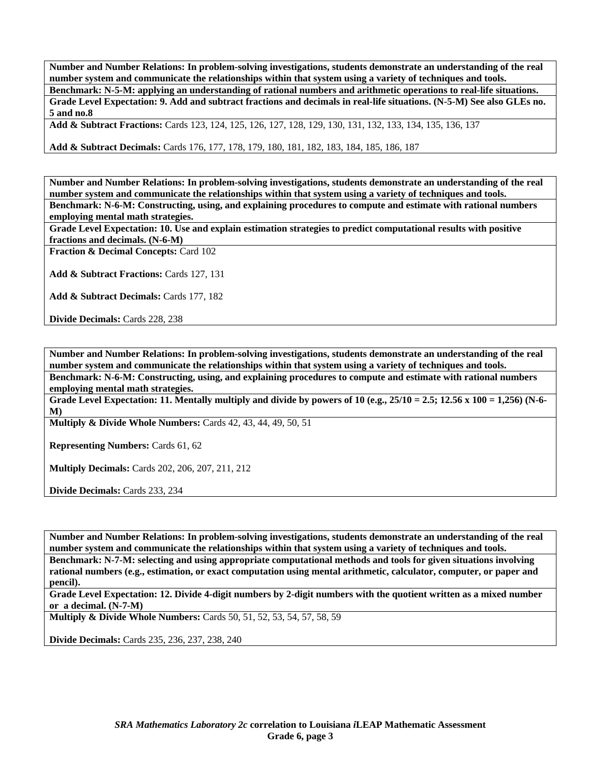**Number and Number Relations: In problem-solving investigations, students demonstrate an understanding of the real number system and communicate the relationships within that system using a variety of techniques and tools. Benchmark: N-5-M: applying an understanding of rational numbers and arithmetic operations to real-life situations. Grade Level Expectation: 9. Add and subtract fractions and decimals in real-life situations. (N-5-M) See also GLEs no. 5 and no.8** 

**Add & Subtract Fractions:** Cards 123, 124, 125, 126, 127, 128, 129, 130, 131, 132, 133, 134, 135, 136, 137

**Add & Subtract Decimals:** Cards 176, 177, 178, 179, 180, 181, 182, 183, 184, 185, 186, 187

**Number and Number Relations: In problem-solving investigations, students demonstrate an understanding of the real number system and communicate the relationships within that system using a variety of techniques and tools. Benchmark: N-6-M: Constructing, using, and explaining procedures to compute and estimate with rational numbers employing mental math strategies.** 

**Grade Level Expectation: 10. Use and explain estimation strategies to predict computational results with positive fractions and decimals. (N-6-M)** 

**Fraction & Decimal Concepts:** Card 102

Add & Subtract Fractions: Cards 127, 131

**Add & Subtract Decimals:** Cards 177, 182

**Divide Decimals:** Cards 228, 238

**Number and Number Relations: In problem-solving investigations, students demonstrate an understanding of the real number system and communicate the relationships within that system using a variety of techniques and tools. Benchmark: N-6-M: Constructing, using, and explaining procedures to compute and estimate with rational numbers employing mental math strategies.** 

**Grade Level Expectation: 11. Mentally multiply and divide by powers of 10 (e.g., 25/10 = 2.5; 12.56 x 100 = 1,256) (N-6- M)** 

**Multiply & Divide Whole Numbers:** Cards 42, 43, 44, 49, 50, 51

**Representing Numbers:** Cards 61, 62

**Multiply Decimals:** Cards 202, 206, 207, 211, 212

**Divide Decimals:** Cards 233, 234

**Number and Number Relations: In problem-solving investigations, students demonstrate an understanding of the real number system and communicate the relationships within that system using a variety of techniques and tools. Benchmark: N-7-M: selecting and using appropriate computational methods and tools for given situations involving rational numbers (e.g., estimation, or exact computation using mental arithmetic, calculator, computer, or paper and pencil).** 

**Grade Level Expectation: 12. Divide 4-digit numbers by 2-digit numbers with the quotient written as a mixed number or a decimal. (N-7-M)** 

**Multiply & Divide Whole Numbers:** Cards 50, 51, 52, 53, 54, 57, 58, 59

**Divide Decimals:** Cards 235, 236, 237, 238, 240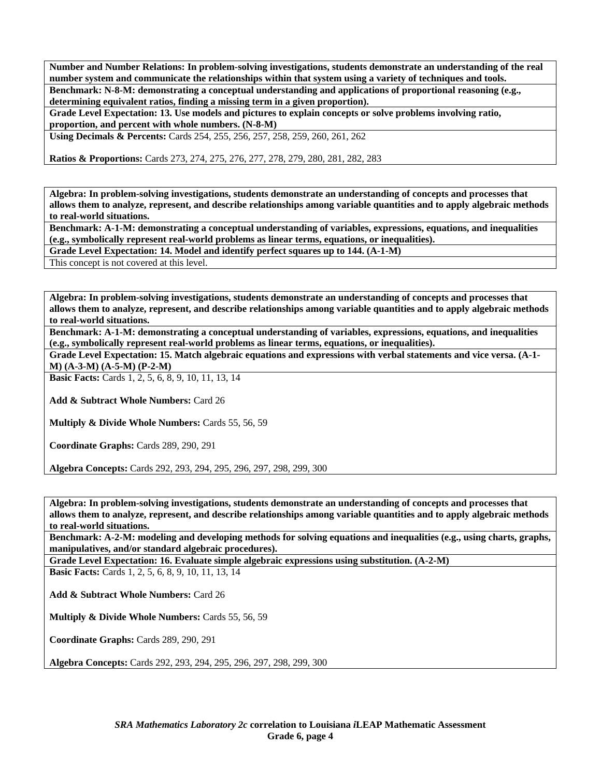**Number and Number Relations: In problem-solving investigations, students demonstrate an understanding of the real number system and communicate the relationships within that system using a variety of techniques and tools. Benchmark: N-8-M: demonstrating a conceptual understanding and applications of proportional reasoning (e.g., determining equivalent ratios, finding a missing term in a given proportion).** 

**Grade Level Expectation: 13. Use models and pictures to explain concepts or solve problems involving ratio, proportion, and percent with whole numbers. (N-8-M)** 

**Using Decimals & Percents:** Cards 254, 255, 256, 257, 258, 259, 260, 261, 262

**Ratios & Proportions:** Cards 273, 274, 275, 276, 277, 278, 279, 280, 281, 282, 283

**Algebra: In problem-solving investigations, students demonstrate an understanding of concepts and processes that allows them to analyze, represent, and describe relationships among variable quantities and to apply algebraic methods to real-world situations.** 

**Benchmark: A-1-M: demonstrating a conceptual understanding of variables, expressions, equations, and inequalities (e.g., symbolically represent real-world problems as linear terms, equations, or inequalities).** 

**Grade Level Expectation: 14. Model and identify perfect squares up to 144. (A-1-M)** 

This concept is not covered at this level.

**Algebra: In problem-solving investigations, students demonstrate an understanding of concepts and processes that allows them to analyze, represent, and describe relationships among variable quantities and to apply algebraic methods to real-world situations.** 

**Benchmark: A-1-M: demonstrating a conceptual understanding of variables, expressions, equations, and inequalities (e.g., symbolically represent real-world problems as linear terms, equations, or inequalities).** 

**Grade Level Expectation: 15. Match algebraic equations and expressions with verbal statements and vice versa. (A-1- M) (A-3-M) (A-5-M) (P-2-M)** 

**Basic Facts:** Cards 1, 2, 5, 6, 8, 9, 10, 11, 13, 14

**Add & Subtract Whole Numbers:** Card 26

**Multiply & Divide Whole Numbers:** Cards 55, 56, 59

**Coordinate Graphs:** Cards 289, 290, 291

**Algebra Concepts:** Cards 292, 293, 294, 295, 296, 297, 298, 299, 300

**Algebra: In problem-solving investigations, students demonstrate an understanding of concepts and processes that allows them to analyze, represent, and describe relationships among variable quantities and to apply algebraic methods to real-world situations.** 

**Benchmark: A-2-M: modeling and developing methods for solving equations and inequalities (e.g., using charts, graphs, manipulatives, and/or standard algebraic procedures).** 

**Grade Level Expectation: 16. Evaluate simple algebraic expressions using substitution. (A-2-M)** 

**Basic Facts:** Cards 1, 2, 5, 6, 8, 9, 10, 11, 13, 14

**Add & Subtract Whole Numbers:** Card 26

**Multiply & Divide Whole Numbers:** Cards 55, 56, 59

**Coordinate Graphs:** Cards 289, 290, 291

**Algebra Concepts:** Cards 292, 293, 294, 295, 296, 297, 298, 299, 300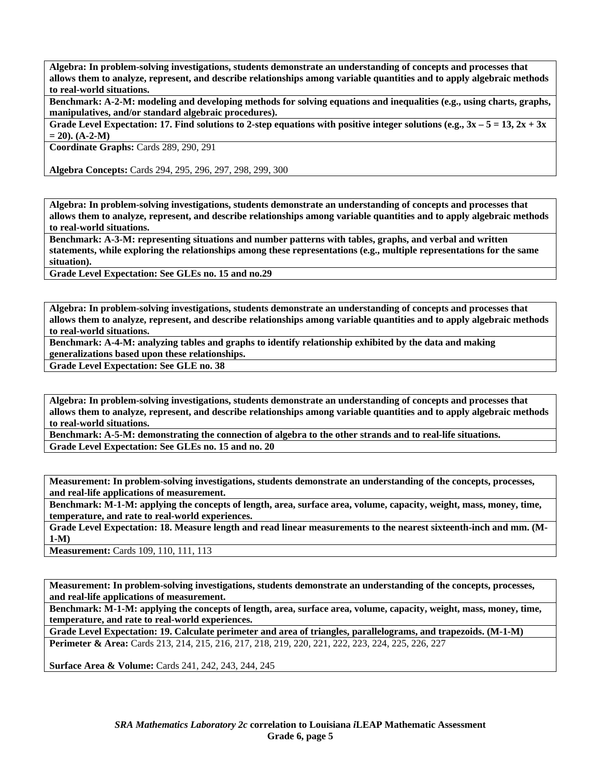**Algebra: In problem-solving investigations, students demonstrate an understanding of concepts and processes that allows them to analyze, represent, and describe relationships among variable quantities and to apply algebraic methods to real-world situations.** 

**Benchmark: A-2-M: modeling and developing methods for solving equations and inequalities (e.g., using charts, graphs, manipulatives, and/or standard algebraic procedures).** 

**Grade Level Expectation: 17. Find solutions to 2-step equations with positive integer solutions (e.g., 3x – 5 = 13, 2x + 3x**   $= 20$ ).  $(A-2-M)$ 

**Coordinate Graphs:** Cards 289, 290, 291

**Algebra Concepts:** Cards 294, 295, 296, 297, 298, 299, 300

**Algebra: In problem-solving investigations, students demonstrate an understanding of concepts and processes that allows them to analyze, represent, and describe relationships among variable quantities and to apply algebraic methods to real-world situations.** 

**Benchmark: A-3-M: representing situations and number patterns with tables, graphs, and verbal and written statements, while exploring the relationships among these representations (e.g., multiple representations for the same situation).** 

**Grade Level Expectation: See GLEs no. 15 and no.29** 

**Algebra: In problem-solving investigations, students demonstrate an understanding of concepts and processes that allows them to analyze, represent, and describe relationships among variable quantities and to apply algebraic methods to real-world situations.** 

**Benchmark: A-4-M: analyzing tables and graphs to identify relationship exhibited by the data and making** 

**generalizations based upon these relationships. Grade Level Expectation: See GLE no. 38** 

**Algebra: In problem-solving investigations, students demonstrate an understanding of concepts and processes that allows them to analyze, represent, and describe relationships among variable quantities and to apply algebraic methods to real-world situations.** 

**Benchmark: A-5-M: demonstrating the connection of algebra to the other strands and to real-life situations. Grade Level Expectation: See GLEs no. 15 and no. 20** 

**Measurement: In problem-solving investigations, students demonstrate an understanding of the concepts, processes, and real-life applications of measurement.** 

**Benchmark: M-1-M: applying the concepts of length, area, surface area, volume, capacity, weight, mass, money, time, temperature, and rate to real-world experiences.** 

**Grade Level Expectation: 18. Measure length and read linear measurements to the nearest sixteenth-inch and mm. (M-1-M)** 

**Measurement:** Cards 109, 110, 111, 113

**Measurement: In problem-solving investigations, students demonstrate an understanding of the concepts, processes, and real-life applications of measurement.** 

**Benchmark: M-1-M: applying the concepts of length, area, surface area, volume, capacity, weight, mass, money, time, temperature, and rate to real-world experiences.** 

**Grade Level Expectation: 19. Calculate perimeter and area of triangles, parallelograms, and trapezoids. (M-1-M) Perimeter & Area:** Cards 213, 214, 215, 216, 217, 218, 219, 220, 221, 222, 223, 224, 225, 226, 227

**Surface Area & Volume:** Cards 241, 242, 243, 244, 245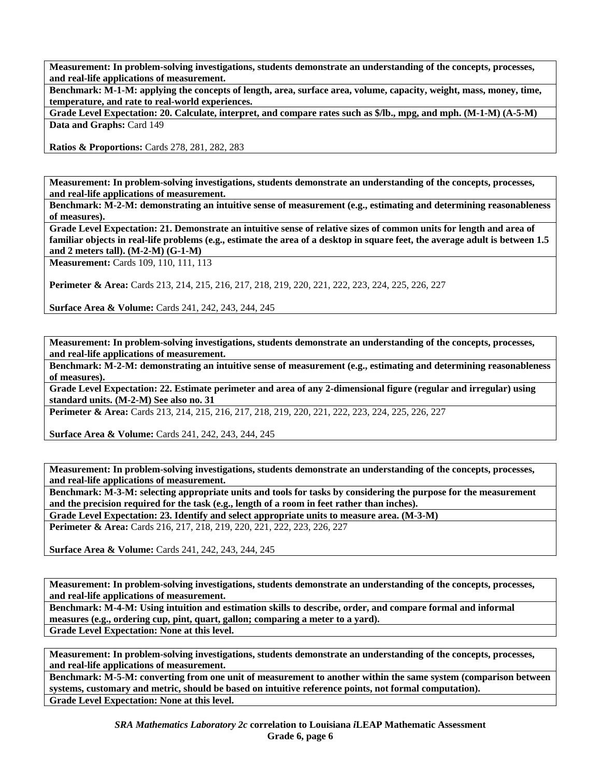**Benchmark: M-1-M: applying the concepts of length, area, surface area, volume, capacity, weight, mass, money, time, temperature, and rate to real-world experiences.** 

**Grade Level Expectation: 20. Calculate, interpret, and compare rates such as \$/lb., mpg, and mph. (M-1-M) (A-5-M) Data and Graphs:** Card 149

**Ratios & Proportions:** Cards 278, 281, 282, 283

**Measurement: In problem-solving investigations, students demonstrate an understanding of the concepts, processes, and real-life applications of measurement.** 

**Benchmark: M-2-M: demonstrating an intuitive sense of measurement (e.g., estimating and determining reasonableness of measures).** 

**Grade Level Expectation: 21. Demonstrate an intuitive sense of relative sizes of common units for length and area of familiar objects in real-life problems (e.g., estimate the area of a desktop in square feet, the average adult is between 1.5 and 2 meters tall). (M-2-M) (G-1-M)** 

**Measurement:** Cards 109, 110, 111, 113

**Perimeter & Area:** Cards 213, 214, 215, 216, 217, 218, 219, 220, 221, 222, 223, 224, 225, 226, 227

**Surface Area & Volume:** Cards 241, 242, 243, 244, 245

**Measurement: In problem-solving investigations, students demonstrate an understanding of the concepts, processes, and real-life applications of measurement.** 

**Benchmark: M-2-M: demonstrating an intuitive sense of measurement (e.g., estimating and determining reasonableness of measures).** 

**Grade Level Expectation: 22. Estimate perimeter and area of any 2-dimensional figure (regular and irregular) using standard units. (M-2-M) See also no. 31** 

**Perimeter & Area:** Cards 213, 214, 215, 216, 217, 218, 219, 220, 221, 222, 223, 224, 225, 226, 227

**Surface Area & Volume:** Cards 241, 242, 243, 244, 245

**Measurement: In problem-solving investigations, students demonstrate an understanding of the concepts, processes, and real-life applications of measurement.** 

**Benchmark: M-3-M: selecting appropriate units and tools for tasks by considering the purpose for the measurement and the precision required for the task (e.g., length of a room in feet rather than inches).** 

**Grade Level Expectation: 23. Identify and select appropriate units to measure area. (M-3-M) Perimeter & Area:** Cards 216, 217, 218, 219, 220, 221, 222, 223, 226, 227

**Surface Area & Volume:** Cards 241, 242, 243, 244, 245

**Measurement: In problem-solving investigations, students demonstrate an understanding of the concepts, processes, and real-life applications of measurement.** 

**Benchmark: M-4-M: Using intuition and estimation skills to describe, order, and compare formal and informal measures (e.g., ordering cup, pint, quart, gallon; comparing a meter to a yard). Grade Level Expectation: None at this level.** 

**Measurement: In problem-solving investigations, students demonstrate an understanding of the concepts, processes, and real-life applications of measurement.** 

**Benchmark: M-5-M: converting from one unit of measurement to another within the same system (comparison between systems, customary and metric, should be based on intuitive reference points, not formal computation). Grade Level Expectation: None at this level.**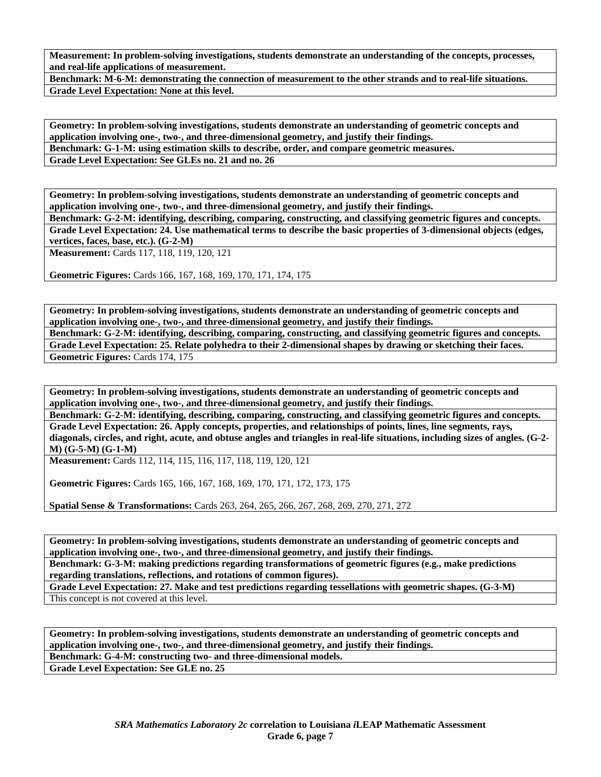**Benchmark: M-6-M: demonstrating the connection of measurement to the other strands and to real-life situations. Grade Level Expectation: None at this level.** 

**Geometry: In problem-solving investigations, students demonstrate an understanding of geometric concepts and application involving one-, two-, and three-dimensional geometry, and justify their findings. Benchmark: G-1-M: using estimation skills to describe, order, and compare geometric measures. Grade Level Expectation: See GLEs no. 21 and no. 26** 

**Geometry: In problem-solving investigations, students demonstrate an understanding of geometric concepts and application involving one-, two-, and three-dimensional geometry, and justify their findings.** 

**Benchmark: G-2-M: identifying, describing, comparing, constructing, and classifying geometric figures and concepts. Grade Level Expectation: 24. Use mathematical terms to describe the basic properties of 3-dimensional objects (edges, vertices, faces, base, etc.). (G-2-M)** 

**Measurement:** Cards 117, 118, 119, 120, 121

**Geometric Figures:** Cards 166, 167, 168, 169, 170, 171, 174, 175

**Geometry: In problem-solving investigations, students demonstrate an understanding of geometric concepts and application involving one-, two-, and three-dimensional geometry, and justify their findings. Benchmark: G-2-M: identifying, describing, comparing, constructing, and classifying geometric figures and concepts. Grade Level Expectation: 25. Relate polyhedra to their 2-dimensional shapes by drawing or sketching their faces. Geometric Figures:** Cards 174, 175

**Geometry: In problem-solving investigations, students demonstrate an understanding of geometric concepts and application involving one-, two-, and three-dimensional geometry, and justify their findings.** 

**Benchmark: G-2-M: identifying, describing, comparing, constructing, and classifying geometric figures and concepts. Grade Level Expectation: 26. Apply concepts, properties, and relationships of points, lines, line segments, rays, diagonals, circles, and right, acute, and obtuse angles and triangles in real-life situations, including sizes of angles. (G-2- M) (G-5-M) (G-1-M)** 

**Measurement:** Cards 112, 114, 115, 116, 117, 118, 119, 120, 121

**Geometric Figures:** Cards 165, 166, 167, 168, 169, 170, 171, 172, 173, 175

**Spatial Sense & Transformations:** Cards 263, 264, 265, 266, 267, 268, 269, 270, 271, 272

**Geometry: In problem-solving investigations, students demonstrate an understanding of geometric concepts and application involving one-, two-, and three-dimensional geometry, and justify their findings.** 

**Benchmark: G-3-M: making predictions regarding transformations of geometric figures (e.g., make predictions regarding translations, reflections, and rotations of common figures).** 

**Grade Level Expectation: 27. Make and test predictions regarding tessellations with geometric shapes. (G-3-M)**  This concept is not covered at this level.

**Geometry: In problem-solving investigations, students demonstrate an understanding of geometric concepts and application involving one-, two-, and three-dimensional geometry, and justify their findings. Benchmark: G-4-M: constructing two- and three-dimensional models. Grade Level Expectation: See GLE no. 25**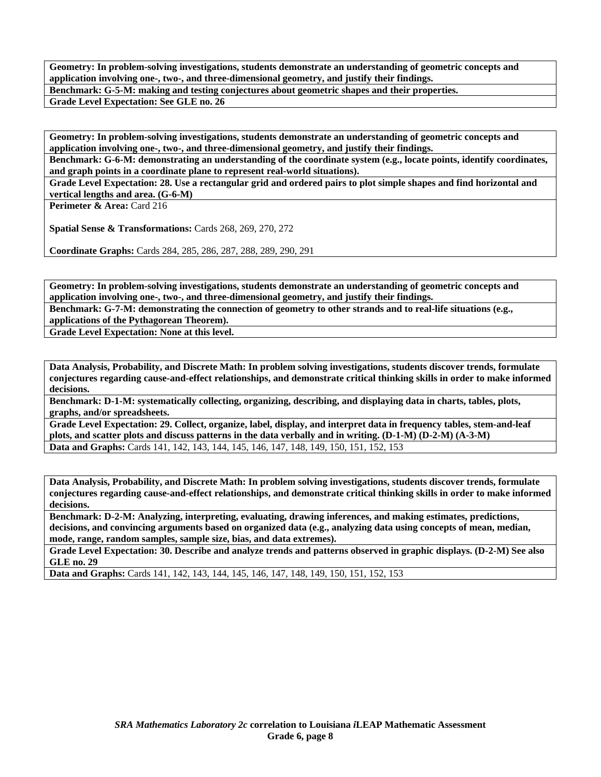**Geometry: In problem-solving investigations, students demonstrate an understanding of geometric concepts and application involving one-, two-, and three-dimensional geometry, and justify their findings. Benchmark: G-5-M: making and testing conjectures about geometric shapes and their properties.** 

**Grade Level Expectation: See GLE no. 26** 

**Geometry: In problem-solving investigations, students demonstrate an understanding of geometric concepts and application involving one-, two-, and three-dimensional geometry, and justify their findings.** 

**Benchmark: G-6-M: demonstrating an understanding of the coordinate system (e.g., locate points, identify coordinates, and graph points in a coordinate plane to represent real-world situations).** 

**Grade Level Expectation: 28. Use a rectangular grid and ordered pairs to plot simple shapes and find horizontal and vertical lengths and area. (G-6-M)** 

**Perimeter & Area: Card 216** 

**Spatial Sense & Transformations:** Cards 268, 269, 270, 272

**Coordinate Graphs:** Cards 284, 285, 286, 287, 288, 289, 290, 291

**Geometry: In problem-solving investigations, students demonstrate an understanding of geometric concepts and application involving one-, two-, and three-dimensional geometry, and justify their findings.** 

**Benchmark: G-7-M: demonstrating the connection of geometry to other strands and to real-life situations (e.g., applications of the Pythagorean Theorem).** 

**Grade Level Expectation: None at this level.** 

**Data Analysis, Probability, and Discrete Math: In problem solving investigations, students discover trends, formulate conjectures regarding cause-and-effect relationships, and demonstrate critical thinking skills in order to make informed decisions.** 

**Benchmark: D-1-M: systematically collecting, organizing, describing, and displaying data in charts, tables, plots, graphs, and/or spreadsheets.** 

**Grade Level Expectation: 29. Collect, organize, label, display, and interpret data in frequency tables, stem-and-leaf plots, and scatter plots and discuss patterns in the data verbally and in writing. (D-1-M) (D-2-M) (A-3-M) Data and Graphs:** Cards 141, 142, 143, 144, 145, 146, 147, 148, 149, 150, 151, 152, 153

**Data Analysis, Probability, and Discrete Math: In problem solving investigations, students discover trends, formulate conjectures regarding cause-and-effect relationships, and demonstrate critical thinking skills in order to make informed decisions.** 

**Benchmark: D-2-M: Analyzing, interpreting, evaluating, drawing inferences, and making estimates, predictions, decisions, and convincing arguments based on organized data (e.g., analyzing data using concepts of mean, median, mode, range, random samples, sample size, bias, and data extremes).** 

**Grade Level Expectation: 30. Describe and analyze trends and patterns observed in graphic displays. (D-2-M) See also GLE no. 29** 

**Data and Graphs:** Cards 141, 142, 143, 144, 145, 146, 147, 148, 149, 150, 151, 152, 153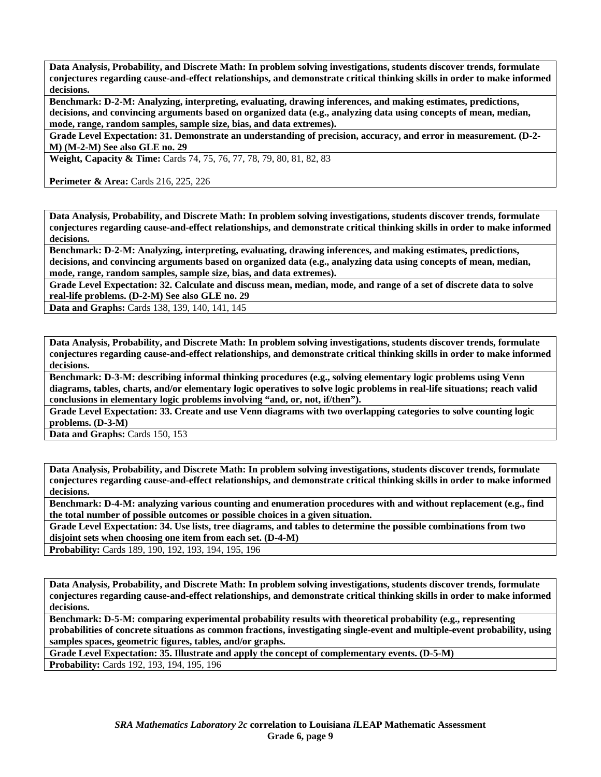**Benchmark: D-2-M: Analyzing, interpreting, evaluating, drawing inferences, and making estimates, predictions, decisions, and convincing arguments based on organized data (e.g., analyzing data using concepts of mean, median, mode, range, random samples, sample size, bias, and data extremes).** 

**Grade Level Expectation: 31. Demonstrate an understanding of precision, accuracy, and error in measurement. (D-2- M) (M-2-M) See also GLE no. 29** 

**Weight, Capacity & Time:** Cards 74, 75, 76, 77, 78, 79, 80, 81, 82, 83

**Perimeter & Area:** Cards 216, 225, 226

**Data Analysis, Probability, and Discrete Math: In problem solving investigations, students discover trends, formulate conjectures regarding cause-and-effect relationships, and demonstrate critical thinking skills in order to make informed decisions.** 

**Benchmark: D-2-M: Analyzing, interpreting, evaluating, drawing inferences, and making estimates, predictions, decisions, and convincing arguments based on organized data (e.g., analyzing data using concepts of mean, median, mode, range, random samples, sample size, bias, and data extremes).** 

**Grade Level Expectation: 32. Calculate and discuss mean, median, mode, and range of a set of discrete data to solve real-life problems. (D-2-M) See also GLE no. 29** 

**Data and Graphs:** Cards 138, 139, 140, 141, 145

**Data Analysis, Probability, and Discrete Math: In problem solving investigations, students discover trends, formulate conjectures regarding cause-and-effect relationships, and demonstrate critical thinking skills in order to make informed decisions.** 

**Benchmark: D-3-M: describing informal thinking procedures (e.g., solving elementary logic problems using Venn diagrams, tables, charts, and/or elementary logic operatives to solve logic problems in real-life situations; reach valid conclusions in elementary logic problems involving "and, or, not, if/then").** 

**Grade Level Expectation: 33. Create and use Venn diagrams with two overlapping categories to solve counting logic problems. (D-3-M)** 

**Data and Graphs:** Cards 150, 153

**Data Analysis, Probability, and Discrete Math: In problem solving investigations, students discover trends, formulate conjectures regarding cause-and-effect relationships, and demonstrate critical thinking skills in order to make informed decisions.** 

**Benchmark: D-4-M: analyzing various counting and enumeration procedures with and without replacement (e.g., find the total number of possible outcomes or possible choices in a given situation.** 

**Grade Level Expectation: 34. Use lists, tree diagrams, and tables to determine the possible combinations from two disjoint sets when choosing one item from each set. (D-4-M)** 

**Probability:** Cards 189, 190, 192, 193, 194, 195, 196

**Data Analysis, Probability, and Discrete Math: In problem solving investigations, students discover trends, formulate conjectures regarding cause-and-effect relationships, and demonstrate critical thinking skills in order to make informed decisions.** 

**Benchmark: D-5-M: comparing experimental probability results with theoretical probability (e.g., representing probabilities of concrete situations as common fractions, investigating single-event and multiple-event probability, using samples spaces, geometric figures, tables, and/or graphs.** 

**Grade Level Expectation: 35. Illustrate and apply the concept of complementary events. (D-5-M)** 

**Probability:** Cards 192, 193, 194, 195, 196